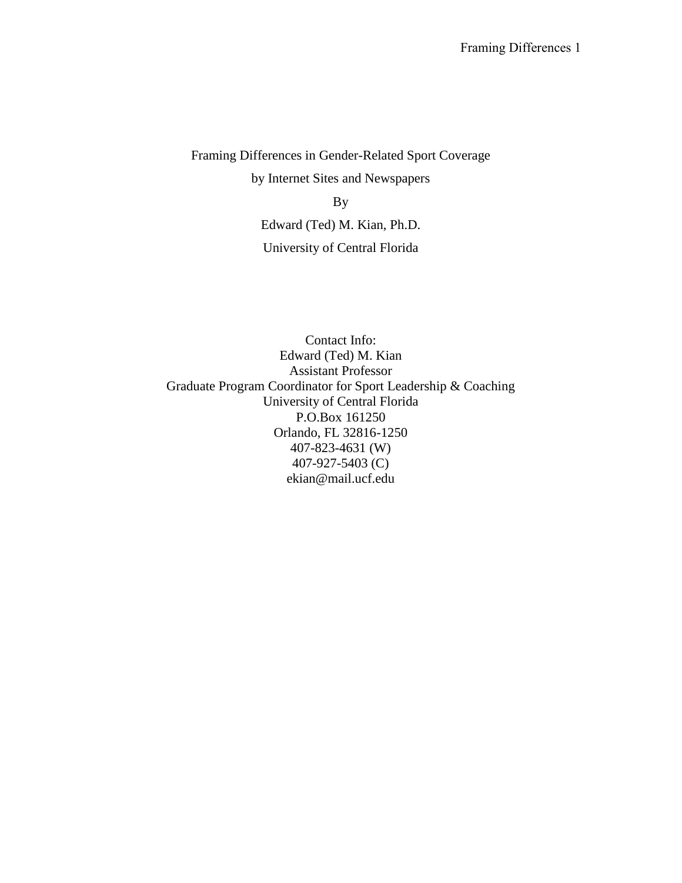Framing Differences in Gender-Related Sport Coverage by Internet Sites and Newspapers By

Edward (Ted) M. Kian, Ph.D. University of Central Florida

Contact Info: Edward (Ted) M. Kian Assistant Professor Graduate Program Coordinator for Sport Leadership & Coaching University of Central Florida P.O.Box 161250 Orlando, FL 32816-1250 407-823-4631 (W) 407-927-5403 (C) ekian@mail.ucf.edu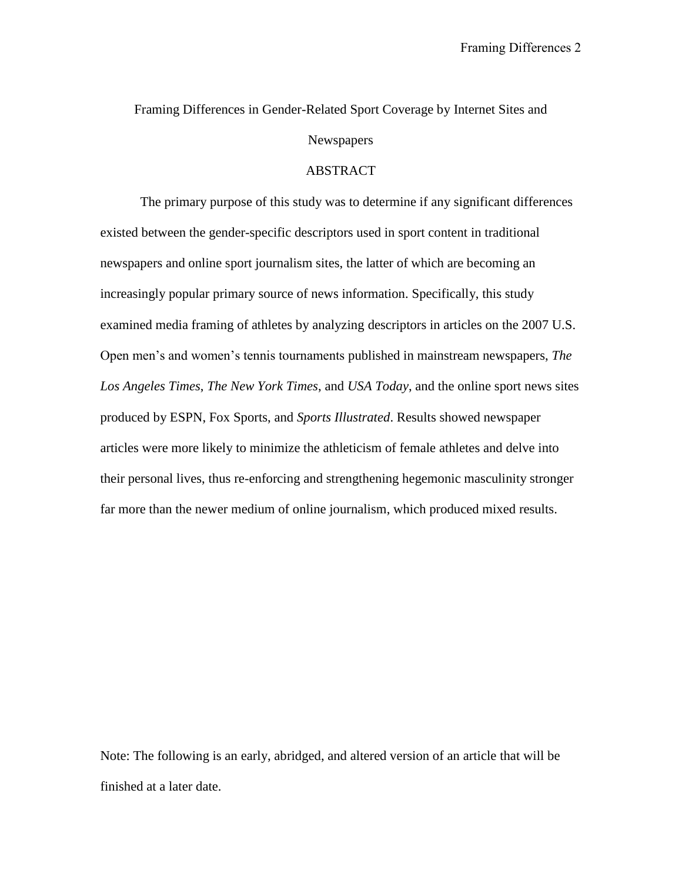# Framing Differences in Gender-Related Sport Coverage by Internet Sites and Newspapers

## ABSTRACT

The primary purpose of this study was to determine if any significant differences existed between the gender-specific descriptors used in sport content in traditional newspapers and online sport journalism sites, the latter of which are becoming an increasingly popular primary source of news information. Specifically, this study examined media framing of athletes by analyzing descriptors in articles on the 2007 U.S. Open men's and women's tennis tournaments published in mainstream newspapers, *The Los Angeles Times*, *The New York Times*, and *USA Today*, and the online sport news sites produced by ESPN, Fox Sports, and *Sports Illustrated*. Results showed newspaper articles were more likely to minimize the athleticism of female athletes and delve into their personal lives, thus re-enforcing and strengthening hegemonic masculinity stronger far more than the newer medium of online journalism, which produced mixed results.

Note: The following is an early, abridged, and altered version of an article that will be finished at a later date.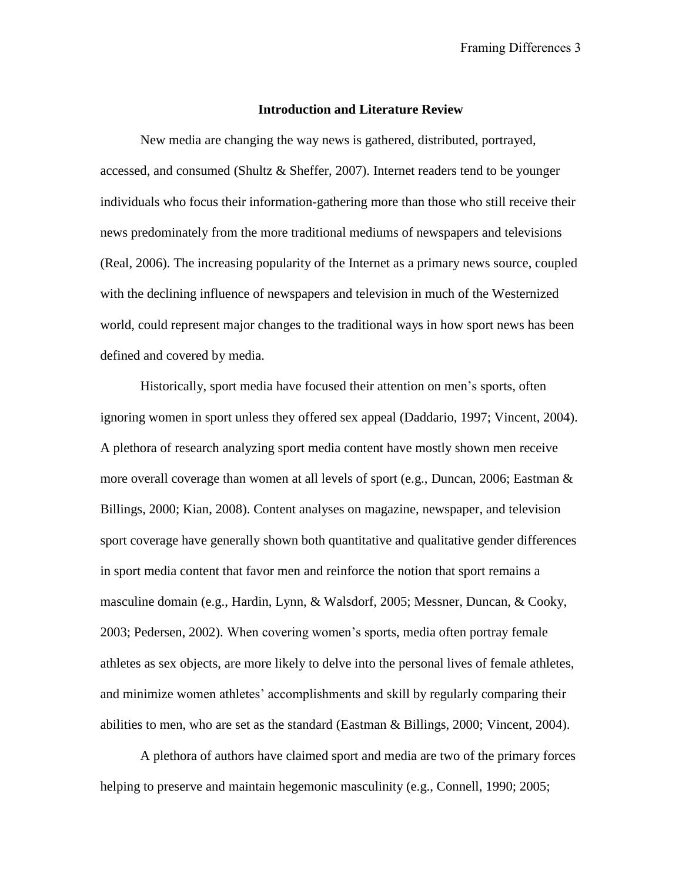### **Introduction and Literature Review**

New media are changing the way news is gathered, distributed, portrayed, accessed, and consumed (Shultz & Sheffer, 2007). Internet readers tend to be younger individuals who focus their information-gathering more than those who still receive their news predominately from the more traditional mediums of newspapers and televisions (Real, 2006). The increasing popularity of the Internet as a primary news source, coupled with the declining influence of newspapers and television in much of the Westernized world, could represent major changes to the traditional ways in how sport news has been defined and covered by media.

Historically, sport media have focused their attention on men's sports, often ignoring women in sport unless they offered sex appeal (Daddario, 1997; Vincent, 2004). A plethora of research analyzing sport media content have mostly shown men receive more overall coverage than women at all levels of sport (e.g., Duncan, 2006; Eastman & Billings, 2000; Kian, 2008). Content analyses on magazine, newspaper, and television sport coverage have generally shown both quantitative and qualitative gender differences in sport media content that favor men and reinforce the notion that sport remains a masculine domain (e.g., Hardin, Lynn, & Walsdorf, 2005; Messner, Duncan, & Cooky, 2003; Pedersen, 2002). When covering women's sports, media often portray female athletes as sex objects, are more likely to delve into the personal lives of female athletes, and minimize women athletes' accomplishments and skill by regularly comparing their abilities to men, who are set as the standard (Eastman & Billings, 2000; Vincent, 2004).

A plethora of authors have claimed sport and media are two of the primary forces helping to preserve and maintain hegemonic masculinity (e.g., Connell, 1990; 2005;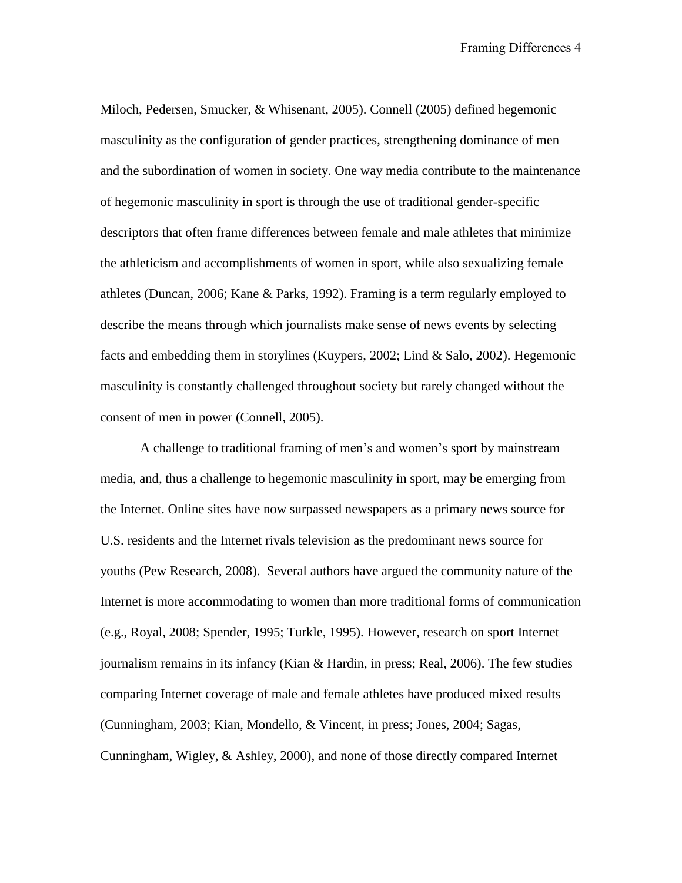Miloch, Pedersen, Smucker, & Whisenant, 2005). Connell (2005) defined hegemonic masculinity as the configuration of gender practices, strengthening dominance of men and the subordination of women in society. One way media contribute to the maintenance of hegemonic masculinity in sport is through the use of traditional gender-specific descriptors that often frame differences between female and male athletes that minimize the athleticism and accomplishments of women in sport, while also sexualizing female athletes (Duncan, 2006; Kane & Parks, 1992). Framing is a term regularly employed to describe the means through which journalists make sense of news events by selecting facts and embedding them in storylines (Kuypers, 2002; Lind & Salo, 2002). Hegemonic masculinity is constantly challenged throughout society but rarely changed without the consent of men in power (Connell, 2005).

A challenge to traditional framing of men's and women's sport by mainstream media, and, thus a challenge to hegemonic masculinity in sport, may be emerging from the Internet. Online sites have now surpassed newspapers as a primary news source for U.S. residents and the Internet rivals television as the predominant news source for youths (Pew Research, 2008). Several authors have argued the community nature of the Internet is more accommodating to women than more traditional forms of communication (e.g., Royal, 2008; Spender, 1995; Turkle, 1995). However, research on sport Internet journalism remains in its infancy (Kian & Hardin, in press; Real, 2006). The few studies comparing Internet coverage of male and female athletes have produced mixed results (Cunningham, 2003; Kian, Mondello, & Vincent, in press; Jones, 2004; Sagas, Cunningham, Wigley, & Ashley, 2000), and none of those directly compared Internet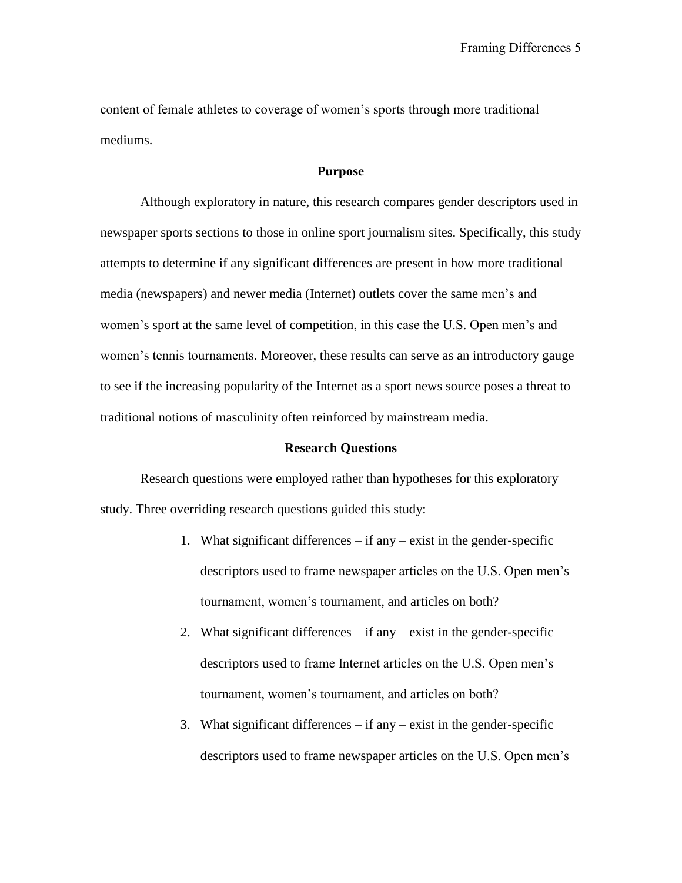content of female athletes to coverage of women's sports through more traditional mediums.

## **Purpose**

Although exploratory in nature, this research compares gender descriptors used in newspaper sports sections to those in online sport journalism sites. Specifically, this study attempts to determine if any significant differences are present in how more traditional media (newspapers) and newer media (Internet) outlets cover the same men's and women's sport at the same level of competition, in this case the U.S. Open men's and women's tennis tournaments. Moreover, these results can serve as an introductory gauge to see if the increasing popularity of the Internet as a sport news source poses a threat to traditional notions of masculinity often reinforced by mainstream media.

## **Research Questions**

Research questions were employed rather than hypotheses for this exploratory study. Three overriding research questions guided this study:

- 1. What significant differences  $-$  if any  $-$  exist in the gender-specific descriptors used to frame newspaper articles on the U.S. Open men's tournament, women's tournament, and articles on both?
- 2. What significant differences  $-$  if any  $-$  exist in the gender-specific descriptors used to frame Internet articles on the U.S. Open men's tournament, women's tournament, and articles on both?
- 3. What significant differences  $-$  if any  $-$  exist in the gender-specific descriptors used to frame newspaper articles on the U.S. Open men's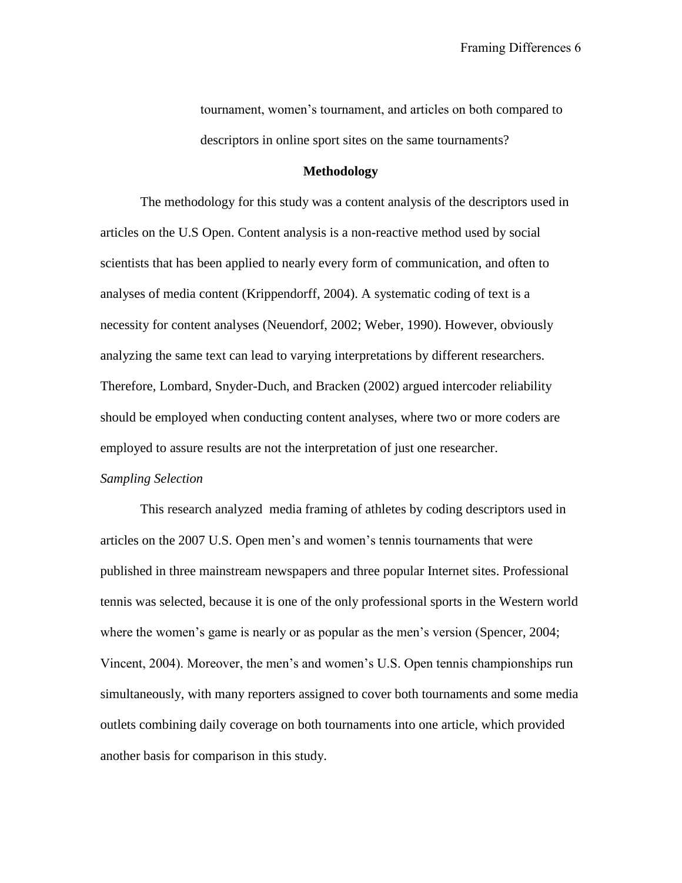tournament, women's tournament, and articles on both compared to descriptors in online sport sites on the same tournaments?

## **Methodology**

The methodology for this study was a content analysis of the descriptors used in articles on the U.S Open. Content analysis is a non-reactive method used by social scientists that has been applied to nearly every form of communication, and often to analyses of media content (Krippendorff, 2004). A systematic coding of text is a necessity for content analyses (Neuendorf, 2002; Weber, 1990). However, obviously analyzing the same text can lead to varying interpretations by different researchers. Therefore, Lombard, Snyder-Duch, and Bracken (2002) argued intercoder reliability should be employed when conducting content analyses, where two or more coders are employed to assure results are not the interpretation of just one researcher.

## *Sampling Selection*

This research analyzed media framing of athletes by coding descriptors used in articles on the 2007 U.S. Open men's and women's tennis tournaments that were published in three mainstream newspapers and three popular Internet sites. Professional tennis was selected, because it is one of the only professional sports in the Western world where the women's game is nearly or as popular as the men's version (Spencer, 2004; Vincent, 2004). Moreover, the men's and women's U.S. Open tennis championships run simultaneously, with many reporters assigned to cover both tournaments and some media outlets combining daily coverage on both tournaments into one article, which provided another basis for comparison in this study.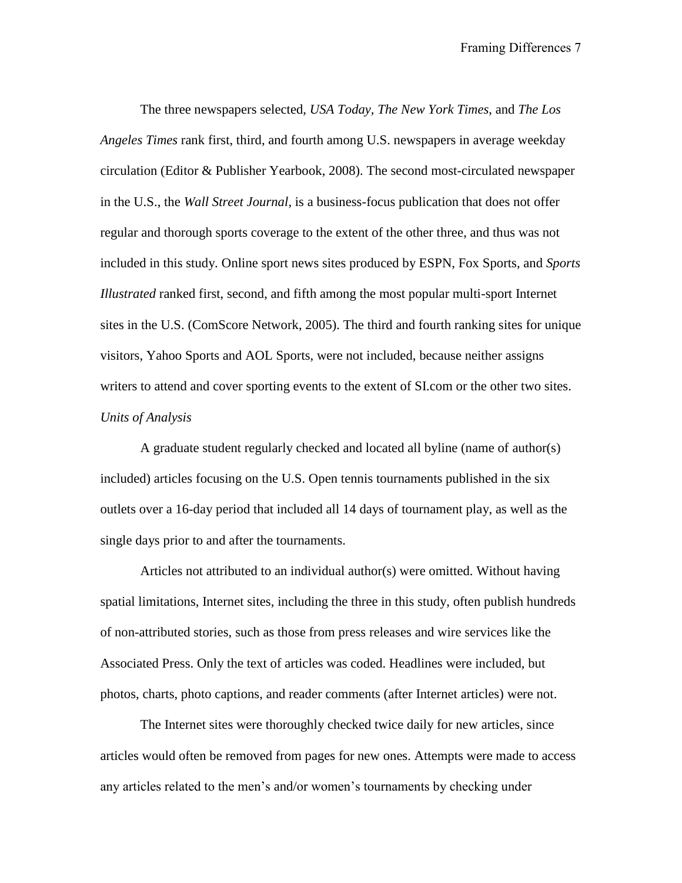The three newspapers selected, *USA Today, The New York Times*, and *The Los Angeles Times* rank first, third, and fourth among U.S. newspapers in average weekday circulation (Editor & Publisher Yearbook, 2008). The second most-circulated newspaper in the U.S., the *Wall Street Journal*, is a business-focus publication that does not offer regular and thorough sports coverage to the extent of the other three, and thus was not included in this study. Online sport news sites produced by ESPN, Fox Sports, and *Sports Illustrated* ranked first, second, and fifth among the most popular multi-sport Internet sites in the U.S. (ComScore Network, 2005). The third and fourth ranking sites for unique visitors, Yahoo Sports and AOL Sports, were not included, because neither assigns writers to attend and cover sporting events to the extent of SI.com or the other two sites. *Units of Analysis*

A graduate student regularly checked and located all byline (name of author(s) included) articles focusing on the U.S. Open tennis tournaments published in the six outlets over a 16-day period that included all 14 days of tournament play, as well as the single days prior to and after the tournaments.

Articles not attributed to an individual author(s) were omitted. Without having spatial limitations, Internet sites, including the three in this study, often publish hundreds of non-attributed stories, such as those from press releases and wire services like the Associated Press. Only the text of articles was coded. Headlines were included, but photos, charts, photo captions, and reader comments (after Internet articles) were not.

The Internet sites were thoroughly checked twice daily for new articles, since articles would often be removed from pages for new ones. Attempts were made to access any articles related to the men's and/or women's tournaments by checking under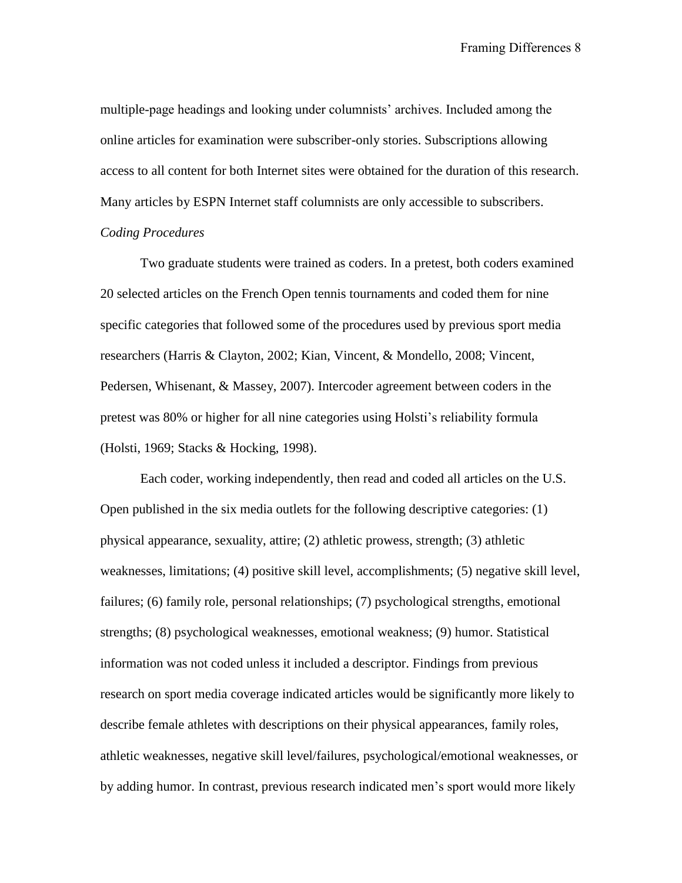multiple-page headings and looking under columnists' archives. Included among the online articles for examination were subscriber-only stories. Subscriptions allowing access to all content for both Internet sites were obtained for the duration of this research. Many articles by ESPN Internet staff columnists are only accessible to subscribers.

## *Coding Procedures*

Two graduate students were trained as coders. In a pretest, both coders examined 20 selected articles on the French Open tennis tournaments and coded them for nine specific categories that followed some of the procedures used by previous sport media researchers (Harris & Clayton, 2002; Kian, Vincent, & Mondello, 2008; Vincent, Pedersen, Whisenant, & Massey, 2007). Intercoder agreement between coders in the pretest was 80% or higher for all nine categories using Holsti's reliability formula (Holsti, 1969; Stacks & Hocking, 1998).

Each coder, working independently, then read and coded all articles on the U.S. Open published in the six media outlets for the following descriptive categories: (1) physical appearance, sexuality, attire; (2) athletic prowess, strength; (3) athletic weaknesses, limitations; (4) positive skill level, accomplishments; (5) negative skill level, failures; (6) family role, personal relationships; (7) psychological strengths, emotional strengths; (8) psychological weaknesses, emotional weakness; (9) humor. Statistical information was not coded unless it included a descriptor. Findings from previous research on sport media coverage indicated articles would be significantly more likely to describe female athletes with descriptions on their physical appearances, family roles, athletic weaknesses, negative skill level/failures, psychological/emotional weaknesses, or by adding humor. In contrast, previous research indicated men's sport would more likely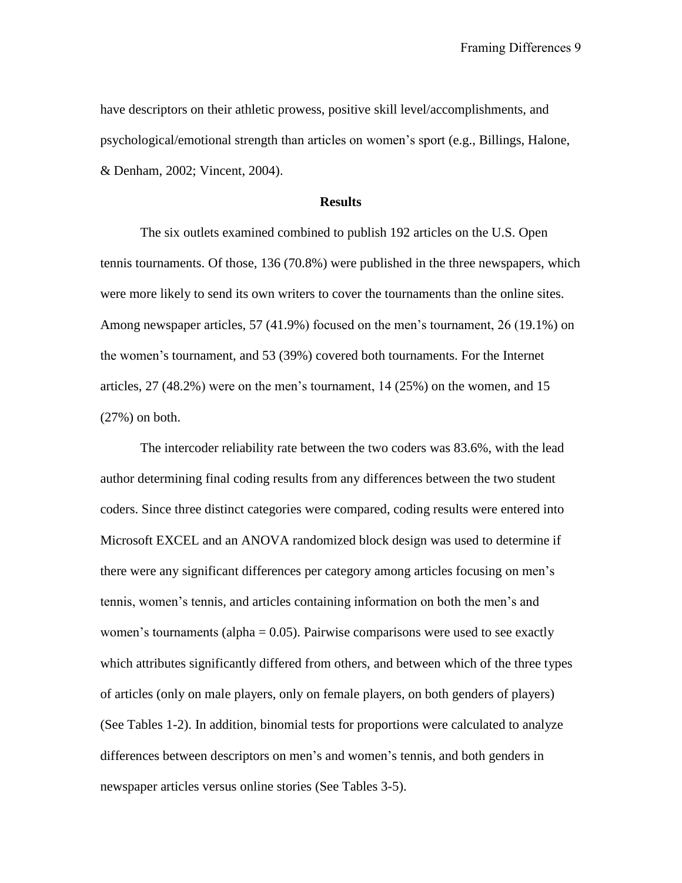have descriptors on their athletic prowess, positive skill level/accomplishments, and psychological/emotional strength than articles on women's sport (e.g., Billings, Halone, & Denham, 2002; Vincent, 2004).

## **Results**

The six outlets examined combined to publish 192 articles on the U.S. Open tennis tournaments. Of those, 136 (70.8%) were published in the three newspapers, which were more likely to send its own writers to cover the tournaments than the online sites. Among newspaper articles, 57 (41.9%) focused on the men's tournament, 26 (19.1%) on the women's tournament, and 53 (39%) covered both tournaments. For the Internet articles, 27 (48.2%) were on the men's tournament, 14 (25%) on the women, and 15 (27%) on both.

The intercoder reliability rate between the two coders was 83.6%, with the lead author determining final coding results from any differences between the two student coders. Since three distinct categories were compared, coding results were entered into Microsoft EXCEL and an ANOVA randomized block design was used to determine if there were any significant differences per category among articles focusing on men's tennis, women's tennis, and articles containing information on both the men's and women's tournaments (alpha  $= 0.05$ ). Pairwise comparisons were used to see exactly which attributes significantly differed from others, and between which of the three types of articles (only on male players, only on female players, on both genders of players) (See Tables 1-2). In addition, binomial tests for proportions were calculated to analyze differences between descriptors on men's and women's tennis, and both genders in newspaper articles versus online stories (See Tables 3-5).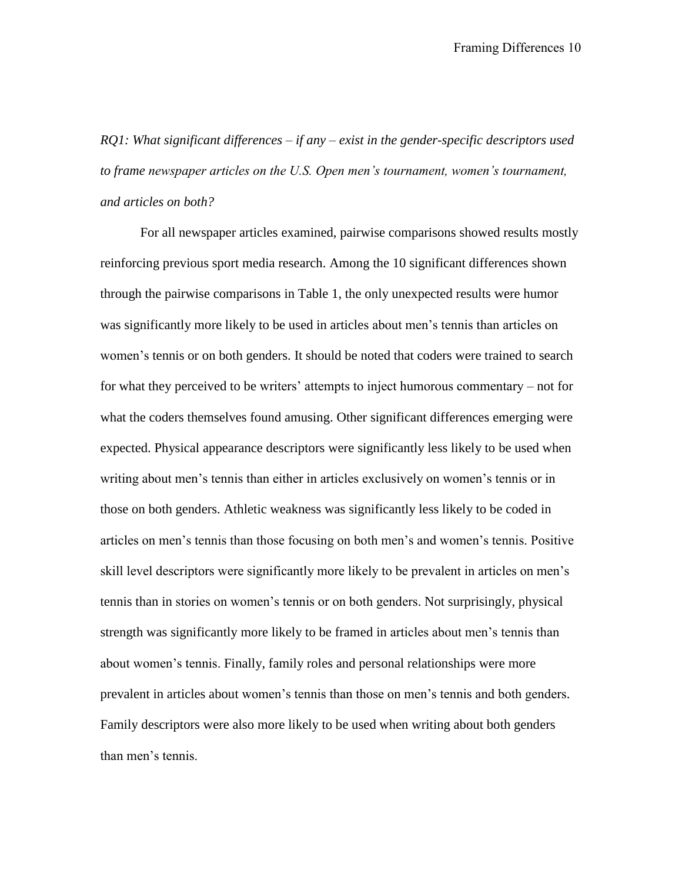*RQ1: What significant differences – if any – exist in the gender-specific descriptors used to frame newspaper articles on the U.S. Open men's tournament, women's tournament, and articles on both?*

For all newspaper articles examined, pairwise comparisons showed results mostly reinforcing previous sport media research. Among the 10 significant differences shown through the pairwise comparisons in Table 1, the only unexpected results were humor was significantly more likely to be used in articles about men's tennis than articles on women's tennis or on both genders. It should be noted that coders were trained to search for what they perceived to be writers' attempts to inject humorous commentary – not for what the coders themselves found amusing. Other significant differences emerging were expected. Physical appearance descriptors were significantly less likely to be used when writing about men's tennis than either in articles exclusively on women's tennis or in those on both genders. Athletic weakness was significantly less likely to be coded in articles on men's tennis than those focusing on both men's and women's tennis. Positive skill level descriptors were significantly more likely to be prevalent in articles on men's tennis than in stories on women's tennis or on both genders. Not surprisingly, physical strength was significantly more likely to be framed in articles about men's tennis than about women's tennis. Finally, family roles and personal relationships were more prevalent in articles about women's tennis than those on men's tennis and both genders. Family descriptors were also more likely to be used when writing about both genders than men's tennis.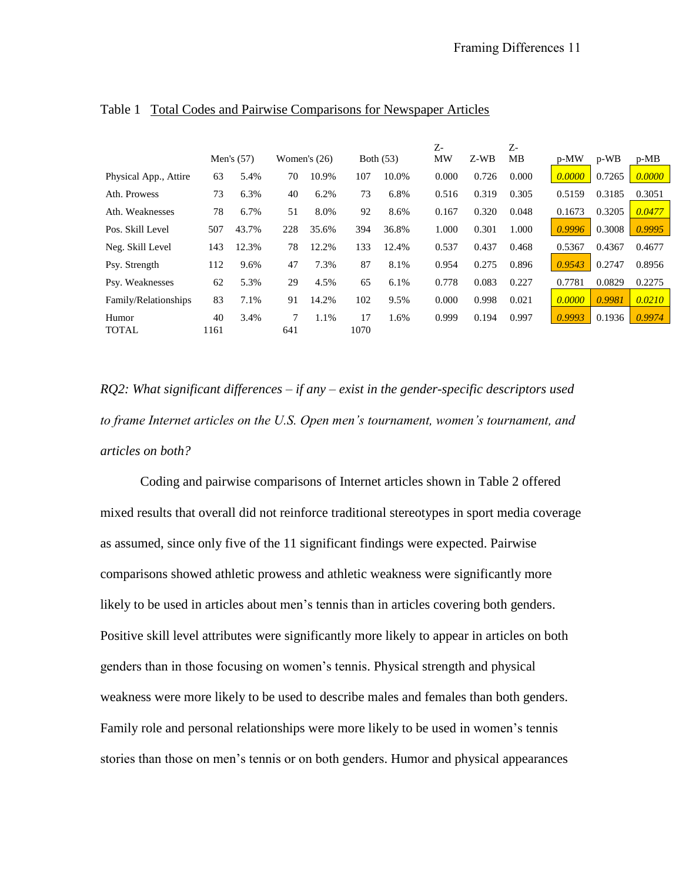|                       |            | Men's $(57)$ |          | Women's $(26)$ |            | Both (53) | Z-<br>MW | Z-WB  | Z-<br>MB | p-MW   | p-WB   | $p-MB$ |
|-----------------------|------------|--------------|----------|----------------|------------|-----------|----------|-------|----------|--------|--------|--------|
| Physical App., Attire | 63         | 5.4%         | 70       | 10.9%          | 107        | 10.0%     | 0.000    | 0.726 | 0.000    | 0.0000 | 0.7265 | 0.0000 |
| Ath. Prowess          | 73         | 6.3%         | 40       | 6.2%           | 73         | 6.8%      | 0.516    | 0.319 | 0.305    | 0.5159 | 0.3185 | 0.3051 |
| Ath. Weaknesses       | 78         | 6.7%         | 51       | 8.0%           | 92         | 8.6%      | 0.167    | 0.320 | 0.048    | 0.1673 | 0.3205 | 0.0477 |
| Pos. Skill Level      | 507        | 43.7%        | 228      | 35.6%          | 394        | 36.8%     | 1.000    | 0.301 | 1.000    | 0.9996 | 0.3008 | 0.9995 |
| Neg. Skill Level      | 143        | 12.3%        | 78       | 12.2%          | 133        | 12.4%     | 0.537    | 0.437 | 0.468    | 0.5367 | 0.4367 | 0.4677 |
| Psy. Strength         | 112        | 9.6%         | 47       | 7.3%           | 87         | 8.1%      | 0.954    | 0.275 | 0.896    | 0.9543 | 0.2747 | 0.8956 |
| Psy. Weaknesses       | 62         | 5.3%         | 29       | 4.5%           | 65         | 6.1%      | 0.778    | 0.083 | 0.227    | 0.7781 | 0.0829 | 0.2275 |
| Family/Relationships  | 83         | 7.1%         | 91       | 14.2%          | 102        | 9.5%      | 0.000    | 0.998 | 0.021    | 0.0000 | 0.9981 | 0.0210 |
| Humor<br><b>TOTAL</b> | 40<br>1161 | 3.4%         | 7<br>641 | 1.1%           | 17<br>1070 | 1.6%      | 0.999    | 0.194 | 0.997    | 0.9993 | 0.1936 | 0.9974 |

## Table 1 Total Codes and Pairwise Comparisons for Newspaper Articles

*RQ2: What significant differences – if any – exist in the gender-specific descriptors used to frame Internet articles on the U.S. Open men's tournament, women's tournament, and articles on both?*

Coding and pairwise comparisons of Internet articles shown in Table 2 offered mixed results that overall did not reinforce traditional stereotypes in sport media coverage as assumed, since only five of the 11 significant findings were expected. Pairwise comparisons showed athletic prowess and athletic weakness were significantly more likely to be used in articles about men's tennis than in articles covering both genders. Positive skill level attributes were significantly more likely to appear in articles on both genders than in those focusing on women's tennis. Physical strength and physical weakness were more likely to be used to describe males and females than both genders. Family role and personal relationships were more likely to be used in women's tennis stories than those on men's tennis or on both genders. Humor and physical appearances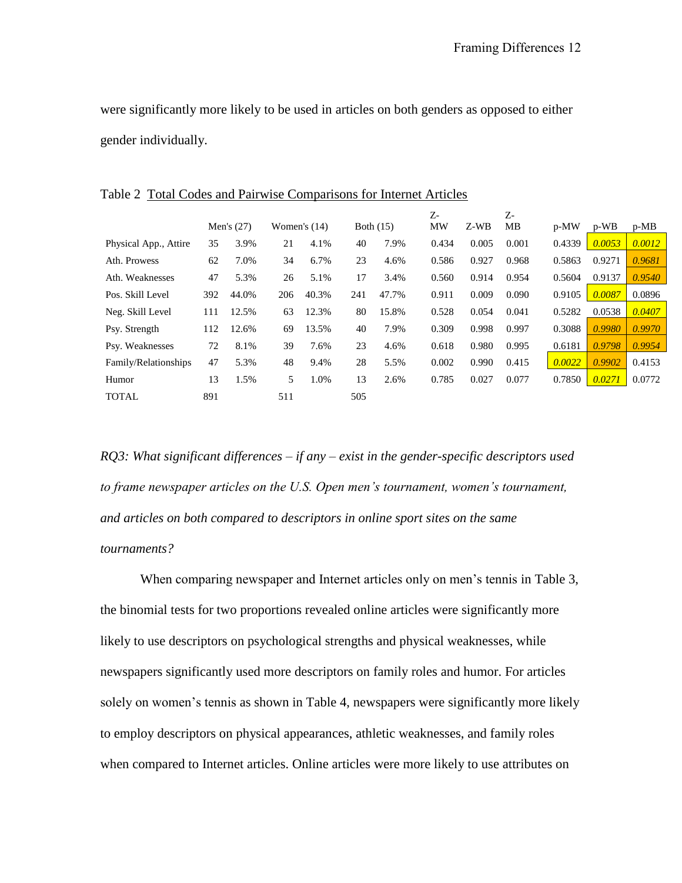were significantly more likely to be used in articles on both genders as opposed to either gender individually.

|                       |     | Men's $(27)$ |     | Women's $(14)$ |     | Both $(15)$ | $Z$ -<br>MW | Z-WB  | Z-<br>MВ | p-MW   | p-WB   | $p-MB$ |
|-----------------------|-----|--------------|-----|----------------|-----|-------------|-------------|-------|----------|--------|--------|--------|
|                       |     |              |     |                |     |             |             |       |          |        |        |        |
| Physical App., Attire | 35  | 3.9%         | 21  | 4.1%           | 40  | 7.9%        | 0.434       | 0.005 | 0.001    | 0.4339 | 0.0053 | 0.0012 |
| Ath. Prowess          | 62  | 7.0%         | 34  | 6.7%           | 23  | 4.6%        | 0.586       | 0.927 | 0.968    | 0.5863 | 0.9271 | 0.9681 |
| Ath. Weaknesses       | 47  | 5.3%         | 26  | 5.1%           | 17  | 3.4%        | 0.560       | 0.914 | 0.954    | 0.5604 | 0.9137 | 0.9540 |
| Pos. Skill Level      | 392 | 44.0%        | 206 | 40.3%          | 241 | 47.7%       | 0.911       | 0.009 | 0.090    | 0.9105 | 0.0087 | 0.0896 |
| Neg. Skill Level      | 111 | 12.5%        | 63  | 12.3%          | 80  | 15.8%       | 0.528       | 0.054 | 0.041    | 0.5282 | 0.0538 | 0.0407 |
| Psy. Strength         | 112 | 12.6%        | 69  | 13.5%          | 40  | 7.9%        | 0.309       | 0.998 | 0.997    | 0.3088 | 0.9980 | 0.9970 |
| Psy. Weaknesses       | 72  | 8.1%         | 39  | 7.6%           | 23  | 4.6%        | 0.618       | 0.980 | 0.995    | 0.6181 | 0.9798 | 0.9954 |
| Family/Relationships  | 47  | 5.3%         | 48  | 9.4%           | 28  | 5.5%        | 0.002       | 0.990 | 0.415    | 0.0022 | 0.9902 | 0.4153 |
| Humor                 | 13  | 1.5%         | 5.  | 1.0%           | 13  | 2.6%        | 0.785       | 0.027 | 0.077    | 0.7850 | 0.0271 | 0.0772 |
| <b>TOTAL</b>          | 891 |              | 511 |                | 505 |             |             |       |          |        |        |        |

Table 2 Total Codes and Pairwise Comparisons for Internet Articles

*RQ3: What significant differences – if any – exist in the gender-specific descriptors used to frame newspaper articles on the U.S. Open men's tournament, women's tournament, and articles on both compared to descriptors in online sport sites on the same tournaments?*

When comparing newspaper and Internet articles only on men's tennis in Table 3, the binomial tests for two proportions revealed online articles were significantly more likely to use descriptors on psychological strengths and physical weaknesses, while newspapers significantly used more descriptors on family roles and humor. For articles solely on women's tennis as shown in Table 4, newspapers were significantly more likely to employ descriptors on physical appearances, athletic weaknesses, and family roles when compared to Internet articles. Online articles were more likely to use attributes on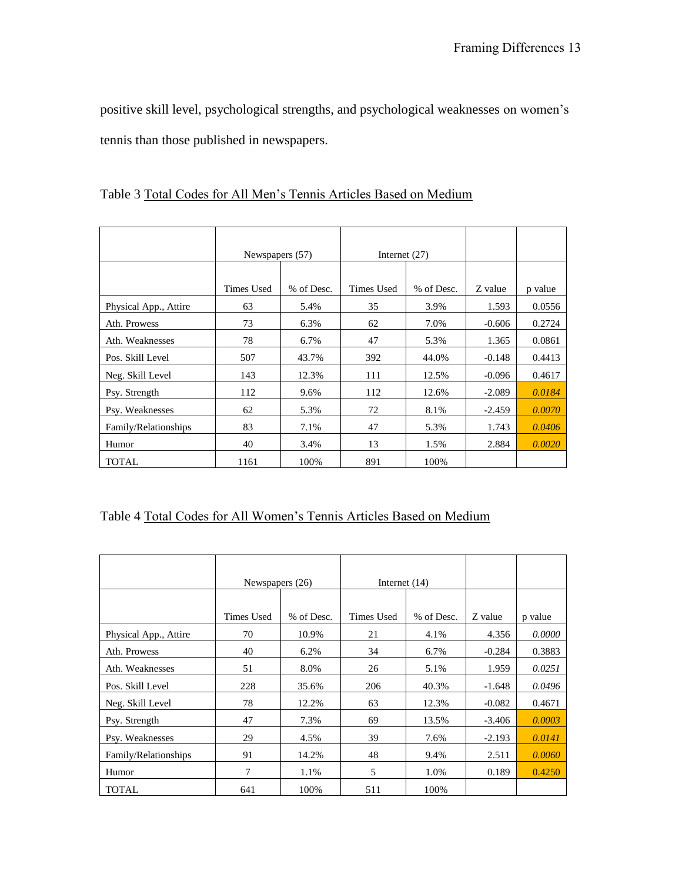positive skill level, psychological strengths, and psychological weaknesses on women's tennis than those published in newspapers.

|                       | Newspapers (57)   |            | Internet $(27)$ |            |          |         |
|-----------------------|-------------------|------------|-----------------|------------|----------|---------|
|                       |                   |            |                 |            |          |         |
|                       | <b>Times Used</b> | % of Desc. | Times Used      | % of Desc. | Z value  | p value |
| Physical App., Attire | 63                | 5.4%       | 35              | 3.9%       | 1.593    | 0.0556  |
| Ath. Prowess          | 73                | 6.3%       | 62              | 7.0%       | $-0.606$ | 0.2724  |
| Ath. Weaknesses       | 78                | 6.7%       | 47              | 5.3%       | 1.365    | 0.0861  |
| Pos. Skill Level      | 507               | 43.7%      | 392             | 44.0%      | $-0.148$ | 0.4413  |
| Neg. Skill Level      | 143               | 12.3%      | 111             | 12.5%      | $-0.096$ | 0.4617  |
| Psy. Strength         | 112               | 9.6%       | 112             | 12.6%      | $-2.089$ | 0.0184  |
| Psy. Weaknesses       | 62                | 5.3%       | 72              | 8.1%       | $-2.459$ | 0.0070  |
| Family/Relationships  | 83                | 7.1%       | 47              | 5.3%       | 1.743    | 0.0406  |
| Humor                 | 40                | 3.4%       | 13              | 1.5%       | 2.884    | 0.0020  |
| <b>TOTAL</b>          | 1161              | 100%       | 891             | 100%       |          |         |

Table 3 Total Codes for All Men's Tennis Articles Based on Medium

# Table 4 Total Codes for All Women's Tennis Articles Based on Medium

|                       | Newspapers (26) |            | Internet $(14)$ |            |          |         |
|-----------------------|-----------------|------------|-----------------|------------|----------|---------|
|                       |                 |            |                 |            |          |         |
|                       | Times Used      | % of Desc. | Times Used      | % of Desc. | Z value  | p value |
| Physical App., Attire | 70              | 10.9%      | 21              | 4.1%       | 4.356    | 0.0000  |
| Ath. Prowess          | 40              | 6.2%       | 34              | 6.7%       | $-0.284$ | 0.3883  |
| Ath. Weaknesses       | 51              | 8.0%       | 26              | 5.1%       | 1.959    | 0.0251  |
| Pos. Skill Level      | 228             | 35.6%      | 206             | 40.3%      | $-1.648$ | 0.0496  |
| Neg. Skill Level      | 78              | 12.2%      | 63              | 12.3%      | $-0.082$ | 0.4671  |
| Psy. Strength         | 47              | 7.3%       | 69              | 13.5%      | $-3.406$ | 0.0003  |
| Psy. Weaknesses       | 29              | 4.5%       | 39              | 7.6%       | $-2.193$ | 0.0141  |
| Family/Relationships  | 91              | 14.2%      | 48              | 9.4%       | 2.511    | 0.0060  |
| Humor                 | 7               | 1.1%       | 5               | 1.0%       | 0.189    | 0.4250  |
| <b>TOTAL</b>          | 641             | 100%       | 511             | 100%       |          |         |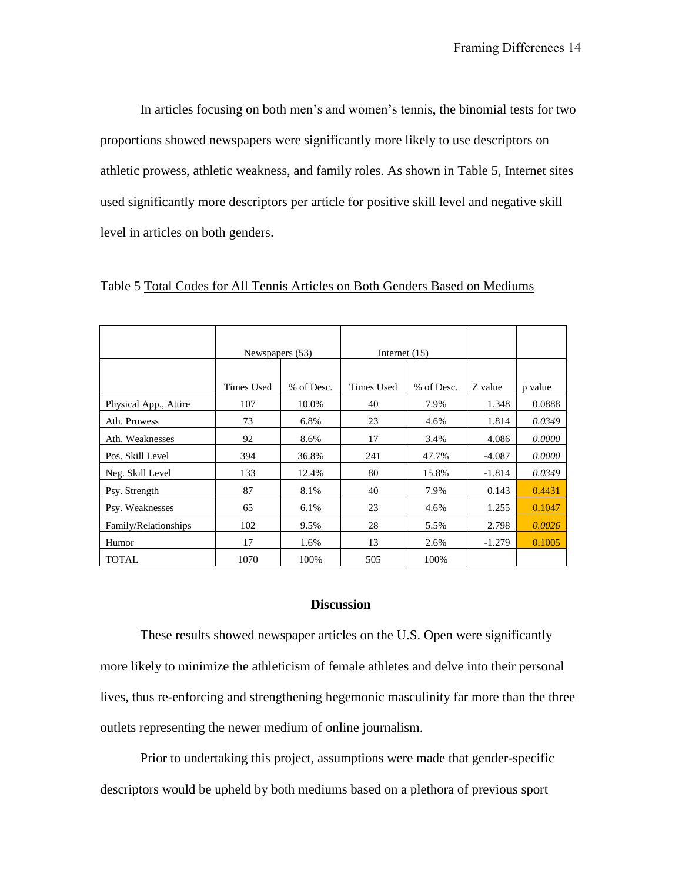In articles focusing on both men's and women's tennis, the binomial tests for two proportions showed newspapers were significantly more likely to use descriptors on athletic prowess, athletic weakness, and family roles. As shown in Table 5, Internet sites used significantly more descriptors per article for positive skill level and negative skill level in articles on both genders.

|                       | Newspapers (53) |            | Internet $(15)$ |            |          |         |
|-----------------------|-----------------|------------|-----------------|------------|----------|---------|
|                       |                 |            |                 |            |          |         |
|                       | Times Used      | % of Desc. | Times Used      | % of Desc. | Z value  | p value |
| Physical App., Attire | 107             | 10.0%      | 40              | 7.9%       | 1.348    | 0.0888  |
| Ath. Prowess          | 73              | 6.8%       | 23              | 4.6%       | 1.814    | 0.0349  |
| Ath. Weaknesses       | 92              | 8.6%       | 17              | 3.4%       | 4.086    | 0.0000  |
| Pos. Skill Level      | 394             | 36.8%      | 241             | 47.7%      | $-4.087$ | 0.0000  |
| Neg. Skill Level      | 133             | 12.4%      | 80              | 15.8%      | $-1.814$ | 0.0349  |
| Psy. Strength         | 87              | 8.1%       | 40              | 7.9%       | 0.143    | 0.4431  |
| Psy. Weaknesses       | 65              | 6.1%       | 23              | 4.6%       | 1.255    | 0.1047  |
| Family/Relationships  | 102             | 9.5%       | 28              | 5.5%       | 2.798    | 0.0026  |
| Humor                 | 17              | 1.6%       | 13              | 2.6%       | $-1.279$ | 0.1005  |
| <b>TOTAL</b>          | 1070            | 100%       | 505             | 100%       |          |         |

Table 5 Total Codes for All Tennis Articles on Both Genders Based on Mediums

## **Discussion**

These results showed newspaper articles on the U.S. Open were significantly more likely to minimize the athleticism of female athletes and delve into their personal lives, thus re-enforcing and strengthening hegemonic masculinity far more than the three outlets representing the newer medium of online journalism.

Prior to undertaking this project, assumptions were made that gender-specific descriptors would be upheld by both mediums based on a plethora of previous sport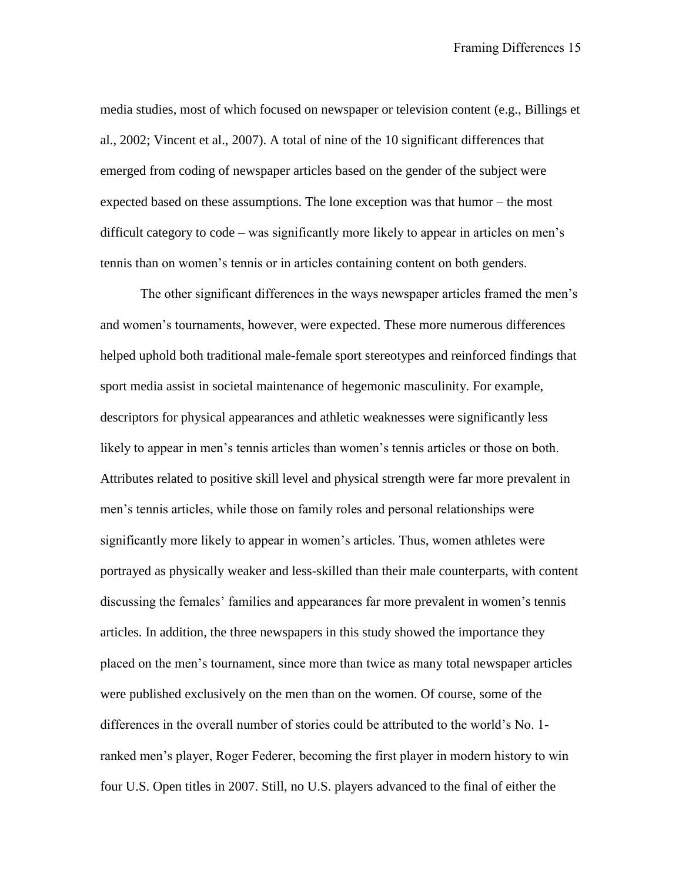media studies, most of which focused on newspaper or television content (e.g., Billings et al., 2002; Vincent et al., 2007). A total of nine of the 10 significant differences that emerged from coding of newspaper articles based on the gender of the subject were expected based on these assumptions. The lone exception was that humor – the most difficult category to code – was significantly more likely to appear in articles on men's tennis than on women's tennis or in articles containing content on both genders.

The other significant differences in the ways newspaper articles framed the men's and women's tournaments, however, were expected. These more numerous differences helped uphold both traditional male-female sport stereotypes and reinforced findings that sport media assist in societal maintenance of hegemonic masculinity. For example, descriptors for physical appearances and athletic weaknesses were significantly less likely to appear in men's tennis articles than women's tennis articles or those on both. Attributes related to positive skill level and physical strength were far more prevalent in men's tennis articles, while those on family roles and personal relationships were significantly more likely to appear in women's articles. Thus, women athletes were portrayed as physically weaker and less-skilled than their male counterparts, with content discussing the females' families and appearances far more prevalent in women's tennis articles. In addition, the three newspapers in this study showed the importance they placed on the men's tournament, since more than twice as many total newspaper articles were published exclusively on the men than on the women. Of course, some of the differences in the overall number of stories could be attributed to the world's No. 1 ranked men's player, Roger Federer, becoming the first player in modern history to win four U.S. Open titles in 2007. Still, no U.S. players advanced to the final of either the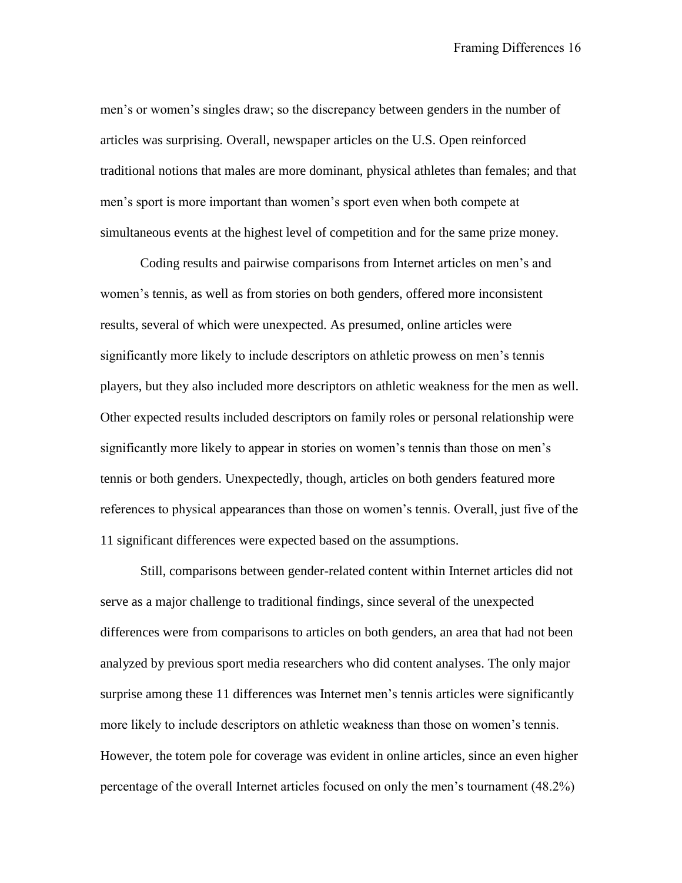men's or women's singles draw; so the discrepancy between genders in the number of articles was surprising. Overall, newspaper articles on the U.S. Open reinforced traditional notions that males are more dominant, physical athletes than females; and that men's sport is more important than women's sport even when both compete at simultaneous events at the highest level of competition and for the same prize money.

Coding results and pairwise comparisons from Internet articles on men's and women's tennis, as well as from stories on both genders, offered more inconsistent results, several of which were unexpected. As presumed, online articles were significantly more likely to include descriptors on athletic prowess on men's tennis players, but they also included more descriptors on athletic weakness for the men as well. Other expected results included descriptors on family roles or personal relationship were significantly more likely to appear in stories on women's tennis than those on men's tennis or both genders. Unexpectedly, though, articles on both genders featured more references to physical appearances than those on women's tennis. Overall, just five of the 11 significant differences were expected based on the assumptions.

Still, comparisons between gender-related content within Internet articles did not serve as a major challenge to traditional findings, since several of the unexpected differences were from comparisons to articles on both genders, an area that had not been analyzed by previous sport media researchers who did content analyses. The only major surprise among these 11 differences was Internet men's tennis articles were significantly more likely to include descriptors on athletic weakness than those on women's tennis. However, the totem pole for coverage was evident in online articles, since an even higher percentage of the overall Internet articles focused on only the men's tournament (48.2%)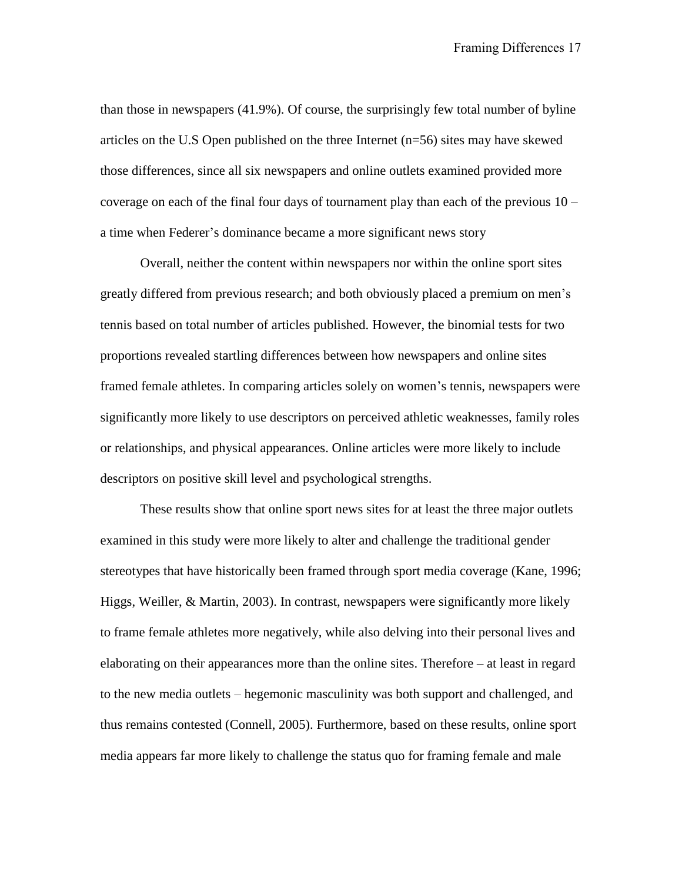than those in newspapers (41.9%). Of course, the surprisingly few total number of byline articles on the U.S Open published on the three Internet (n=56) sites may have skewed those differences, since all six newspapers and online outlets examined provided more coverage on each of the final four days of tournament play than each of the previous 10 – a time when Federer's dominance became a more significant news story

Overall, neither the content within newspapers nor within the online sport sites greatly differed from previous research; and both obviously placed a premium on men's tennis based on total number of articles published. However, the binomial tests for two proportions revealed startling differences between how newspapers and online sites framed female athletes. In comparing articles solely on women's tennis, newspapers were significantly more likely to use descriptors on perceived athletic weaknesses, family roles or relationships, and physical appearances. Online articles were more likely to include descriptors on positive skill level and psychological strengths.

These results show that online sport news sites for at least the three major outlets examined in this study were more likely to alter and challenge the traditional gender stereotypes that have historically been framed through sport media coverage (Kane, 1996; Higgs, Weiller, & Martin, 2003). In contrast, newspapers were significantly more likely to frame female athletes more negatively, while also delving into their personal lives and elaborating on their appearances more than the online sites. Therefore – at least in regard to the new media outlets – hegemonic masculinity was both support and challenged, and thus remains contested (Connell, 2005). Furthermore, based on these results, online sport media appears far more likely to challenge the status quo for framing female and male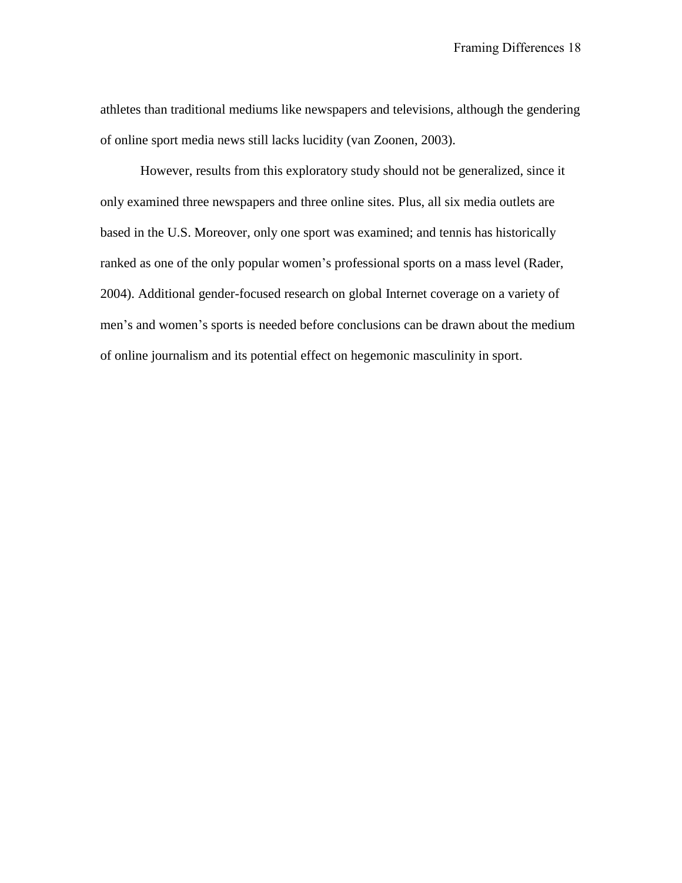athletes than traditional mediums like newspapers and televisions, although the gendering of online sport media news still lacks lucidity (van Zoonen, 2003).

However, results from this exploratory study should not be generalized, since it only examined three newspapers and three online sites. Plus, all six media outlets are based in the U.S. Moreover, only one sport was examined; and tennis has historically ranked as one of the only popular women's professional sports on a mass level (Rader, 2004). Additional gender-focused research on global Internet coverage on a variety of men's and women's sports is needed before conclusions can be drawn about the medium of online journalism and its potential effect on hegemonic masculinity in sport.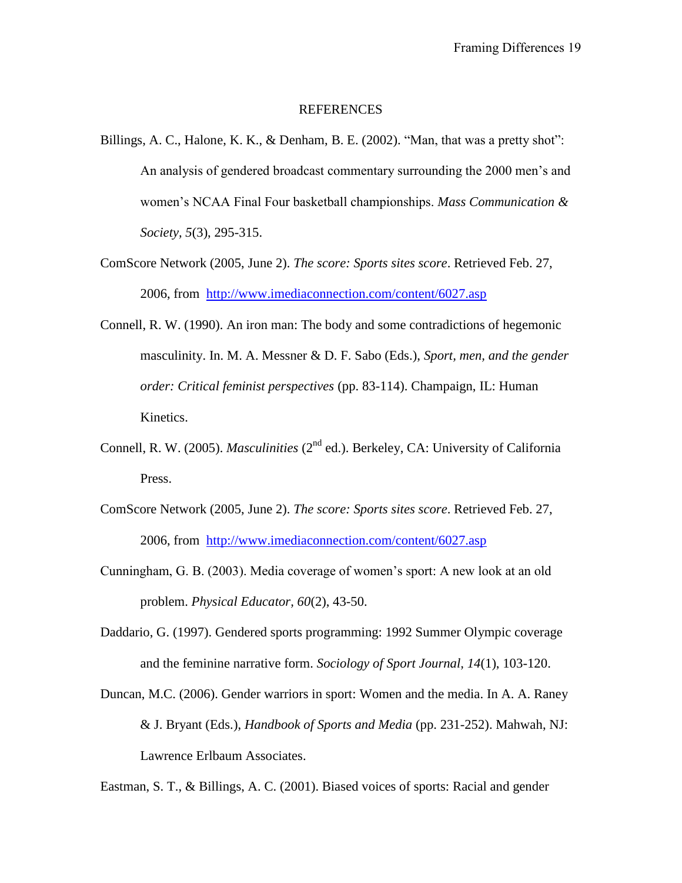#### REFERENCES

- Billings, A. C., Halone, K. K., & Denham, B. E. (2002). "Man, that was a pretty shot": An analysis of gendered broadcast commentary surrounding the 2000 men's and women's NCAA Final Four basketball championships. *Mass Communication & Society, 5*(3), 295-315.
- ComScore Network (2005, June 2). *The score: Sports sites score*. Retrieved Feb. 27, 2006, from <http://www.imediaconnection.com/content/6027.asp>
- Connell, R. W. (1990). An iron man: The body and some contradictions of hegemonic masculinity. In. M. A. Messner & D. F. Sabo (Eds.), *Sport, men, and the gender order: Critical feminist perspectives* (pp. 83-114). Champaign, IL: Human Kinetics.
- Connell, R. W. (2005). *Masculinities* (2<sup>nd</sup> ed.). Berkeley, CA: University of California Press.
- ComScore Network (2005, June 2). *The score: Sports sites score*. Retrieved Feb. 27, 2006, from <http://www.imediaconnection.com/content/6027.asp>
- Cunningham, G. B. (2003). Media coverage of women's sport: A new look at an old problem. *Physical Educator, 60*(2), 43-50.
- Daddario, G. (1997). Gendered sports programming: 1992 Summer Olympic coverage and the feminine narrative form. *Sociology of Sport Journal, 14*(1), 103-120.
- Duncan, M.C. (2006). Gender warriors in sport: Women and the media. In A. A. Raney & J. Bryant (Eds.), *Handbook of Sports and Media* (pp. 231-252). Mahwah, NJ: Lawrence Erlbaum Associates.

Eastman, S. T., & Billings, A. C. (2001). Biased voices of sports: Racial and gender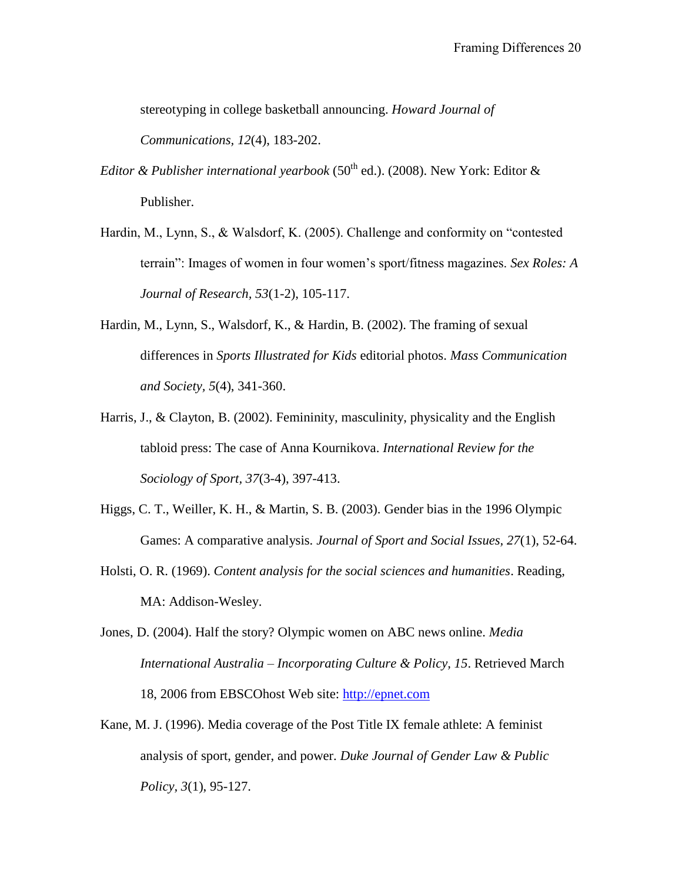stereotyping in college basketball announcing. *Howard Journal of Communications, 12*(4), 183-202.

*Editor & Publisher international yearbook* (50<sup>th</sup> ed.). (2008). New York: Editor & Publisher.

- Hardin, M., Lynn, S., & Walsdorf, K. (2005). Challenge and conformity on "contested terrain": Images of women in four women's sport/fitness magazines. *Sex Roles: A Journal of Research, 53*(1-2), 105-117.
- Hardin, M., Lynn, S., Walsdorf, K., & Hardin, B. (2002). The framing of sexual differences in *Sports Illustrated for Kids* editorial photos. *Mass Communication and Society, 5*(4), 341-360.
- Harris, J., & Clayton, B. (2002). Femininity, masculinity, physicality and the English tabloid press: The case of Anna Kournikova. *International Review for the Sociology of Sport, 37*(3-4), 397-413.
- Higgs, C. T., Weiller, K. H., & Martin, S. B. (2003). Gender bias in the 1996 Olympic Games: A comparative analysis. *Journal of Sport and Social Issues, 27*(1), 52-64.
- Holsti, O. R. (1969). *Content analysis for the social sciences and humanities*. Reading, MA: Addison-Wesley.
- Jones, D. (2004). Half the story? Olympic women on ABC news online. *Media International Australia – Incorporating Culture & Policy, 15*. Retrieved March 18, 2006 from EBSCOhost Web site: [http://epnet.com](http://epnet.com/)
- Kane, M. J. (1996). Media coverage of the Post Title IX female athlete: A feminist analysis of sport, gender, and power. *Duke Journal of Gender Law & Public Policy, 3*(1), 95-127.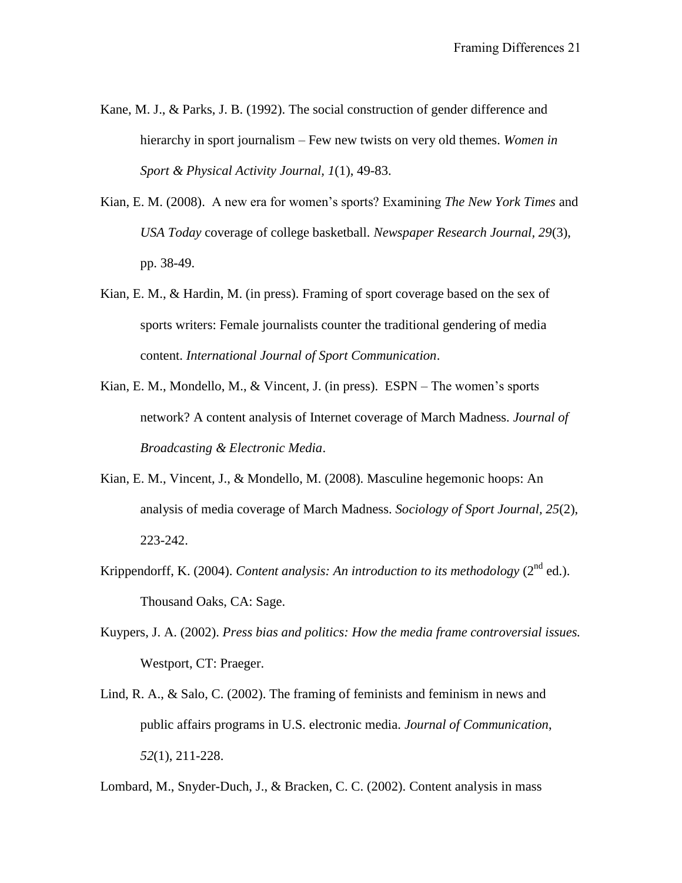- Kane, M. J., & Parks, J. B. (1992). The social construction of gender difference and hierarchy in sport journalism – Few new twists on very old themes. *Women in Sport & Physical Activity Journal, 1*(1), 49-83.
- Kian, E. M. (2008). A new era for women's sports? Examining *The New York Times* and *USA Today* coverage of college basketball. *Newspaper Research Journal, 29*(3), pp. 38-49.
- Kian, E. M., & Hardin, M. (in press). Framing of sport coverage based on the sex of sports writers: Female journalists counter the traditional gendering of media content. *International Journal of Sport Communication*.
- Kian, E. M., Mondello, M., & Vincent, J. (in press). ESPN The women's sports network? A content analysis of Internet coverage of March Madness. *Journal of Broadcasting & Electronic Media*.
- Kian, E. M., Vincent, J., & Mondello, M. (2008). Masculine hegemonic hoops: An analysis of media coverage of March Madness. *Sociology of Sport Journal, 25*(2), 223-242.
- Krippendorff, K. (2004). *Content analysis: An introduction to its methodology*  $(2^{nd}$  ed.). Thousand Oaks, CA: Sage.
- Kuypers, J. A. (2002). *Press bias and politics: How the media frame controversial issues.* Westport, CT: Praeger.
- Lind, R. A., & Salo, C. (2002). The framing of feminists and feminism in news and public affairs programs in U.S. electronic media. *Journal of Communication*, *52*(1), 211-228.

Lombard, M., Snyder-Duch, J., & Bracken, C. C. (2002). Content analysis in mass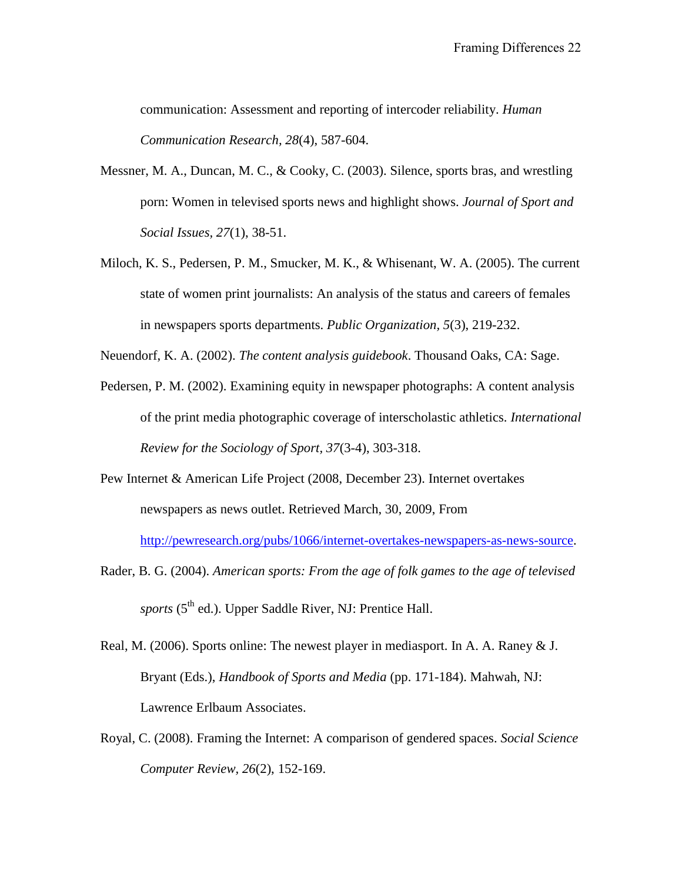communication: Assessment and reporting of intercoder reliability. *Human Communication Research, 28*(4), 587-604.

- Messner, M. A., Duncan, M. C., & Cooky, C. (2003). Silence, sports bras, and wrestling porn: Women in televised sports news and highlight shows. *Journal of Sport and Social Issues, 27*(1), 38-51.
- Miloch, K. S., Pedersen, P. M., Smucker, M. K., & Whisenant, W. A. (2005). The current state of women print journalists: An analysis of the status and careers of females in newspapers sports departments. *Public Organization, 5*(3), 219-232.

Neuendorf, K. A. (2002). *The content analysis guidebook*. Thousand Oaks, CA: Sage.

- Pedersen, P. M. (2002). Examining equity in newspaper photographs: A content analysis of the print media photographic coverage of interscholastic athletics. *International Review for the Sociology of Sport, 37*(3-4), 303-318.
- Pew Internet & American Life Project (2008, December 23). Internet overtakes newspapers as news outlet. Retrieved March, 30, 2009, From

[http://pewresearch.org/pubs/1066/internet-overtakes-newspapers-as-news-source.](http://pewresearch.org/pubs/1066/internet-overtakes-newspapers-as-news-source)

- Rader, B. G. (2004). *American sports: From the age of folk games to the age of televised sports* (5<sup>th</sup> ed.). Upper Saddle River, NJ: Prentice Hall.
- Real, M. (2006). Sports online: The newest player in mediasport. In A. A. Raney & J. Bryant (Eds.), *Handbook of Sports and Media* (pp. 171-184). Mahwah, NJ: Lawrence Erlbaum Associates.
- Royal, C. (2008). Framing the Internet: A comparison of gendered spaces. *Social Science Computer Review, 26*(2), 152-169.